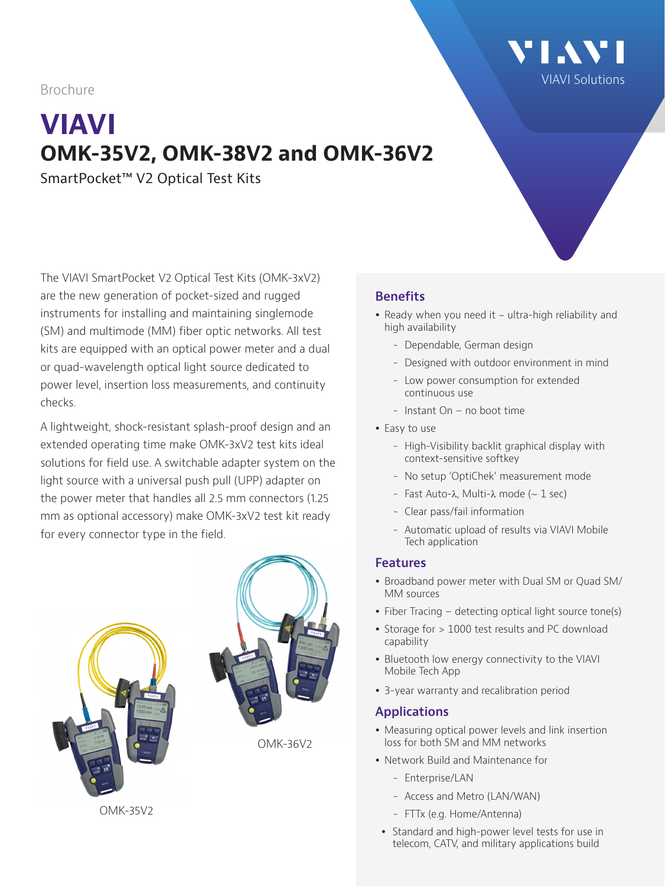Brochure

# **VIAVI OMK-35V2, OMK-38V2 and OMK-36V2**

SmartPocket™ V2 Optical Test Kits

The VIAVI SmartPocket V2 Optical Test Kits (OMK-3xV2) are the new generation of pocket-sized and rugged instruments for installing and maintaining singlemode (SM) and multimode (MM) fiber optic networks. All test kits are equipped with an optical power meter and a dual or quad-wavelength optical light source dedicated to power level, insertion loss measurements, and continuity checks.

A lightweight, shock-resistant splash-proof design and an extended operating time make OMK-3xV2 test kits ideal solutions for field use. A switchable adapter system on the light source with a universal push pull (UPP) adapter on the power meter that handles all 2.5 mm connectors (1.25 mm as optional accessory) make OMK-3xV2 test kit ready for every connector type in the field.



OMK-35V2

#### **Benefits**

• Ready when you need it - ultra-high reliability and high availability

[VIAVI Solutions](https://www.viavisolutions.com/en-us)

'I AV'I

- Dependable, German design
- Designed with outdoor environment in mind
- Low power consumption for extended continuous use
- Instant On no boot time
- Easy to use
	- High-Visibility backlit graphical display with context-sensitive softkey
	- No setup 'OptiChek' measurement mode
	- Fast Auto-λ, Multi-λ mode  $($   $\sim$  1 sec)
	- Clear pass/fail information
	- Automatic upload of results via VIAVI Mobile Tech application

#### **Features**

- Broadband power meter with Dual SM or Quad SM/ MM sources
- Fiber Tracing detecting optical light source tone(s)
- Storage for > 1000 test results and PC download capability
- Bluetooth low energy connectivity to the VIAVI Mobile Tech App
- 3-year warranty and recalibration period

#### **Applications**

- Measuring optical power levels and link insertion loss for both SM and MM networks
- Network Build and Maintenance for
	- Enterprise/LAN
	- Access and Metro (LAN/WAN)
	- FTTx (e.g. Home/Antenna)
- Standard and high-power level tests for use in telecom, CATV, and military applications build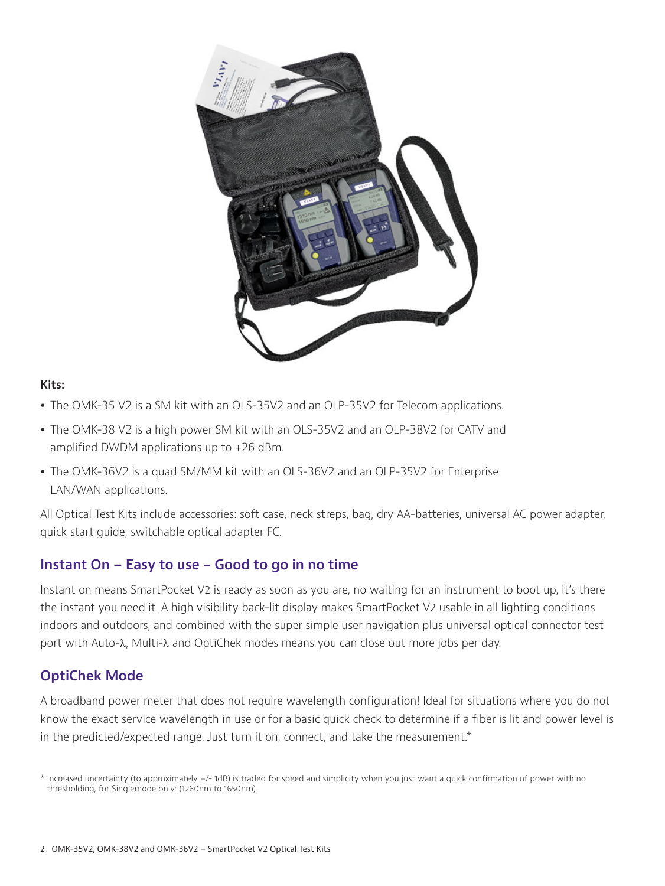

#### **Kits:**

- The OMK-35 V2 is a SM kit with an OLS-35V2 and an OLP-35V2 for Telecom applications.
- The OMK-38 V2 is a high power SM kit with an OLS-35V2 and an OLP-38V2 for CATV and amplified DWDM applications up to +26 dBm.
- The OMK-36V2 is a quad SM/MM kit with an OLS-36V2 and an OLP-35V2 for Enterprise LAN/WAN applications.

All Optical Test Kits include accessories: soft case, neck streps, bag, dry AA-batteries, universal AC power adapter, quick start guide, switchable optical adapter FC.

#### **Instant On – Easy to use - Good to go in no time**

Instant on means SmartPocket V2 is ready as soon as you are, no waiting for an instrument to boot up, it's there the instant you need it. A high visibility back-lit display makes SmartPocket V2 usable in all lighting conditions indoors and outdoors, and combined with the super simple user navigation plus universal optical connector test port with Auto-λ, Multi-λ and OptiChek modes means you can close out more jobs per day.

#### **OptiChek Mode**

A broadband power meter that does not require wavelength configuration! Ideal for situations where you do not know the exact service wavelength in use or for a basic quick check to determine if a fiber is lit and power level is in the predicted/expected range. Just turn it on, connect, and take the measurement.\*

<sup>\*</sup> Increased uncertainty (to approximately +/- 1dB) is traded for speed and simplicity when you just want a quick confirmation of power with no thresholding, for Singlemode only: (1260nm to 1650nm).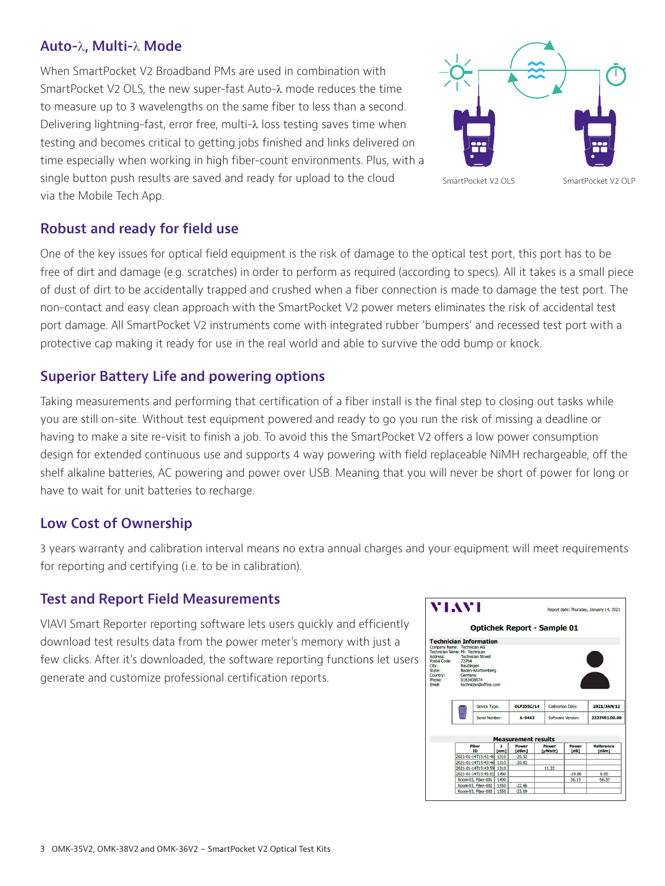#### **Auto-**λ**, Multi-**λ **Mode**

When SmartPocket V2 Broadband PMs are used in combination with SmartPocket V2 OLS, the new super-fast Auto-λ mode reduces the time to measure up to 3 wavelengths on the same fiber to less than a second. Delivering lightning-fast, error free, multi-λ loss testing saves time when testing and becomes critical to getting jobs finished and links delivered on time especially when working in high fiber-count environments. Plus, with a single button push results are saved and ready for upload to the cloud via the Mobile Tech App.



#### **Robust and ready for field use**

One of the key issues for optical field equipment is the risk of damage to the optical test port, this port has to be free of dirt and damage (e.g. scratches) in order to perform as required (according to specs). All it takes is a small piece of dust of dirt to be accidentally trapped and crushed when a fiber connection is made to damage the test port. The non-contact and easy clean approach with the SmartPocket V2 power meters eliminates the risk of accidental test port damage. All SmartPocket V2 instruments come with integrated rubber 'bumpers' and recessed test port with a protective cap making it ready for use in the real world and able to survive the odd bump or knock.

#### **Superior Battery Life and powering options**

Taking measurements and performing that certification of a fiber install is the final step to closing out tasks while you are still on-site. Without test equipment powered and ready to go you run the risk of missing a deadline or having to make a site re-visit to finish a job. To avoid this the SmartPocket V2 offers a low power consumption design for extended continuous use and supports 4 way powering with field replaceable NiMH rechargeable, off the shelf alkaline batteries, AC powering and power over USB. Meaning that you will never be short of power for long or have to wait for unit batteries to recharge.

#### **Low Cost of Ownership**

3 years warranty and calibration interval means no extra annual charges and your equipment will meet requirements for reporting and certifying (i.e. to be in calibration).

#### **Test and Report Field Measurements**

VIAVI Smart Reporter reporting software lets users quickly and efficiently download test results data from the power meter's memory with just a few clicks. After it's downloaded, the software reporting functions let users generate and customize professional certification reports.

| VIAVI                                                                                                                                                                                               |                                                                                               | Report date: Thursday, January 14, 2021 |                |                          |              |                  |  |
|-----------------------------------------------------------------------------------------------------------------------------------------------------------------------------------------------------|-----------------------------------------------------------------------------------------------|-----------------------------------------|----------------|--------------------------|--------------|------------------|--|
|                                                                                                                                                                                                     | <b>Optichek Report - Sample 01</b>                                                            |                                         |                |                          |              |                  |  |
| <b>Technician Information</b>                                                                                                                                                                       |                                                                                               |                                         |                |                          |              |                  |  |
| Company Name: Technician AG<br>Technician Name: Mr. Technican<br>Address:<br>72764<br><b>Postal Code:</b><br>Reutlingen<br>City:<br>State:<br>Country:<br>Germany<br>0163438574<br>Phone:<br>Fmail: | <b>Technician Street</b><br>Baden-Württemberg<br>technician@office.com<br><b>Device Type:</b> | <b>OLP35SC/14</b>                       |                | <b>Calibration Date:</b> |              | 2021/JAN/12      |  |
|                                                                                                                                                                                                     | Serial Number:                                                                                | $A - 0443$                              |                | Software Version:        |              | 2333V01.00.00    |  |
|                                                                                                                                                                                                     | <b>Fiber</b><br>λ                                                                             | <b>Measurement results</b><br>Power     |                | Power                    | <b>Power</b> | <b>Reference</b> |  |
|                                                                                                                                                                                                     | <b>ID</b><br>fnm1                                                                             | <b>IdBm1</b>                            | <b>TuWatt1</b> |                          | <b>FdB1</b>  | [dBm]            |  |
|                                                                                                                                                                                                     | 2021-01-14T15:42:46 1310                                                                      |                                         |                |                          |              |                  |  |
|                                                                                                                                                                                                     | 2021-01-14T15:43:46 1310                                                                      |                                         |                |                          |              |                  |  |
|                                                                                                                                                                                                     | 2021-01-14T15:43:59 1310                                                                      |                                         |                | 11.22                    |              |                  |  |
|                                                                                                                                                                                                     | 2021-01-14T15:45:01 1490                                                                      |                                         |                |                          | $-19.80$     | 0.00             |  |
|                                                                                                                                                                                                     | Room-03, Fiber-001<br>1490                                                                    |                                         |                |                          | 36.15        | $-56.37$         |  |
|                                                                                                                                                                                                     | 1550<br>Room-03, Fiber-002                                                                    | $-22.86$                                |                |                          |              |                  |  |
|                                                                                                                                                                                                     | Room-03, Fiber-003<br>1550                                                                    | $-23.09$                                |                |                          |              |                  |  |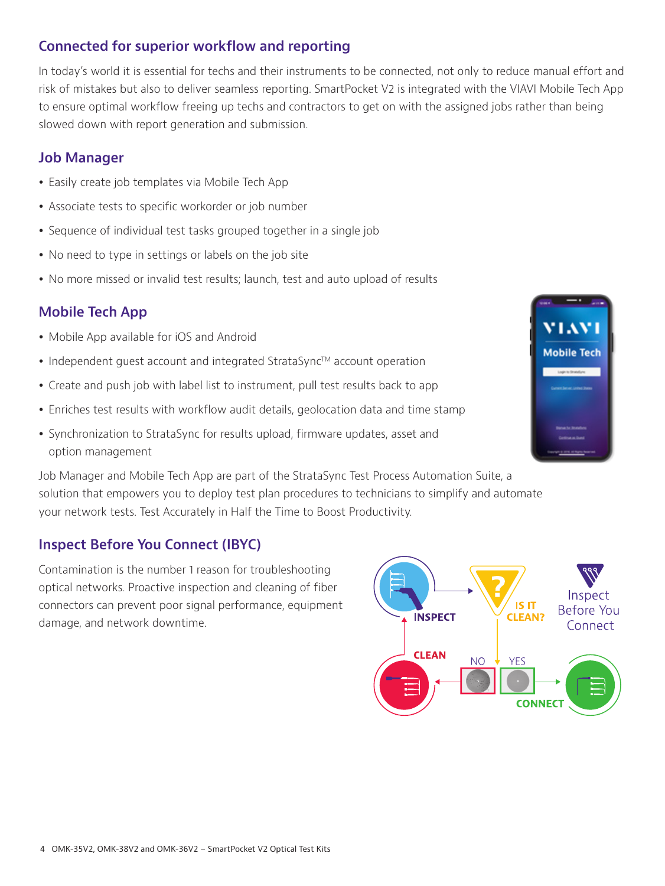### **Connected for superior workflow and reporting**

In today's world it is essential for techs and their instruments to be connected, not only to reduce manual effort and risk of mistakes but also to deliver seamless reporting. SmartPocket V2 is integrated with the VIAVI Mobile Tech App to ensure optimal workflow freeing up techs and contractors to get on with the assigned jobs rather than being slowed down with report generation and submission.

#### **Job Manager**

- Easily create job templates via Mobile Tech App
- Associate tests to specific workorder or job number
- Sequence of individual test tasks grouped together in a single job
- No need to type in settings or labels on the job site
- No more missed or invalid test results; launch, test and auto upload of results

# **Mobile Tech App**

- Mobile App available for iOS and Android
- Independent guest account and integrated StrataSync™ account operation
- Create and push job with label list to instrument, pull test results back to app
- Enriches test results with workflow audit details, geolocation data and time stamp
- Synchronization to StrataSync for results upload, firmware updates, asset and option management

Job Manager and Mobile Tech App are part of the StrataSync Test Process Automation Suite, a solution that empowers you to deploy test plan procedures to technicians to simplify and automate your network tests. Test Accurately in Half the Time to Boost Productivity.

## **Inspect Before You Connect (IBYC)**

Contamination is the number 1 reason for troubleshooting optical networks. Proactive inspection and cleaning of fiber connectors can prevent poor signal performance, equipment damage, and network downtime.